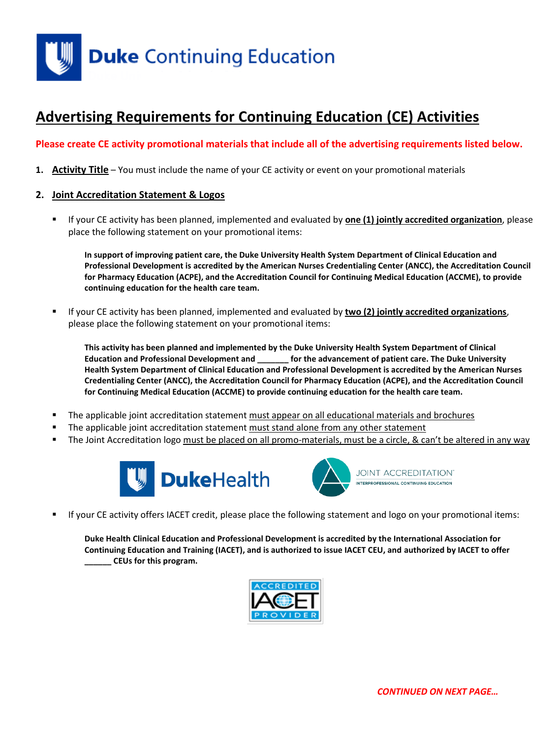

# **Advertising Requirements for Continuing Education (CE) Activities**

## **Please create CE activity promotional materials that include all of the advertising requirements listed below.**

**1. Activity Title** – You must include the name of your CE activity or event on your promotional materials

#### **2. Joint Accreditation Statement & Logos**

 If your CE activity has been planned, implemented and evaluated by **one (1) jointly accredited organization**, please place the following statement on your promotional items:

**In support of improving patient care, the Duke University Health System Department of Clinical Education and Professional Development is accredited by the American Nurses Credentialing Center (ANCC), the Accreditation Council for Pharmacy Education (ACPE), and the Accreditation Council for Continuing Medical Education (ACCME), to provide continuing education for the health care team.**

 If your CE activity has been planned, implemented and evaluated by **two (2) jointly accredited organizations**, please place the following statement on your promotional items:

**This activity has been planned and implemented by the Duke University Health System Department of Clinical Education and Professional Development and \_\_\_\_\_\_\_ for the advancement of patient care. The Duke University Health System Department of Clinical Education and Professional Development is accredited by the American Nurses Credentialing Center (ANCC), the Accreditation Council for Pharmacy Education (ACPE), and the Accreditation Council for Continuing Medical Education (ACCME) to provide continuing education for the health care team.**

- The applicable joint accreditation statement must appear on all educational materials and brochures
- The applicable joint accreditation statement must stand alone from any other statement
- The Joint Accreditation logo must be placed on all promo-materials, must be a circle, & can't be altered in any way





If your CE activity offers IACET credit, please place the following statement and logo on your promotional items:

**Duke Health Clinical Education and Professional Development is accredited by the International Association for Continuing Education and Training (IACET), and is authorized to issue IACET CEU, and authorized by IACET to offer \_\_\_\_\_\_ CEUs for this program.**